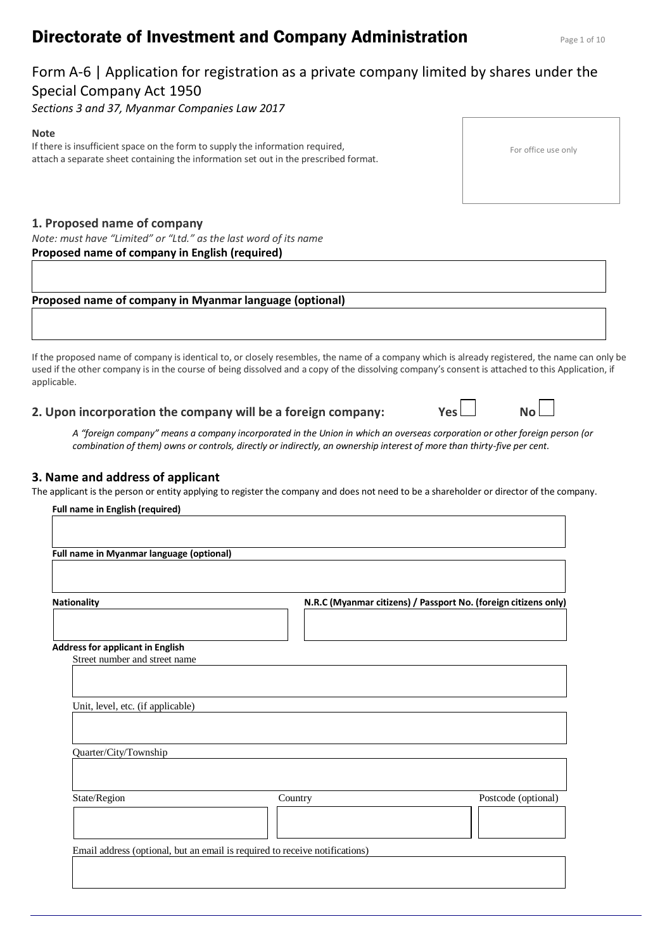# **Directorate of Investment and Company Administration** Page 1 of 10

# Form A-6 | Application for registration as a private company limited by shares under the Special Company Act 1950

*Sections 3 and 37, Myanmar Companies Law 2017*

#### **Note**

If there is insufficient space on the form to supply the information required, attach a separate sheet containing the information set out in the prescribed format.

## **1. Proposed name of company**

*Note: must have "Limited" or "Ltd." as the last word of its name*

### **Proposed name of company in English (required)**

## **Proposed name of company in Myanmar language (optional)**

If the proposed name of company is identical to, or closely resembles, the name of a company which is already registered, the name can only be used if the other company is in the course of being dissolved and a copy of the dissolving company's consent is attached to this Application, if applicable.

**2. Upon incorporation the company will be a foreign company: Yes No**

| A "foreign company" means a company incorporated in the Union in which an overseas corporation or other foreign person (or |  |
|----------------------------------------------------------------------------------------------------------------------------|--|
| combination of them) owns or controls, directly or indirectly, an ownership interest of more than thirty-five per cent.    |  |

### **3. Name and address of applicant**

The applicant is the person or entity applying to register the company and does not need to be a shareholder or director of the company.

| Full name in English (required)                                          |                                                                             |                                                                 |
|--------------------------------------------------------------------------|-----------------------------------------------------------------------------|-----------------------------------------------------------------|
| Full name in Myanmar language (optional)                                 |                                                                             |                                                                 |
| <b>Nationality</b>                                                       |                                                                             | N.R.C (Myanmar citizens) / Passport No. (foreign citizens only) |
|                                                                          |                                                                             |                                                                 |
| <b>Address for applicant in English</b><br>Street number and street name |                                                                             |                                                                 |
| Unit, level, etc. (if applicable)                                        |                                                                             |                                                                 |
| Quarter/City/Township                                                    |                                                                             |                                                                 |
| State/Region                                                             | Country                                                                     | Postcode (optional)                                             |
|                                                                          |                                                                             |                                                                 |
|                                                                          | Email address (optional, but an email is required to receive notifications) |                                                                 |
|                                                                          |                                                                             |                                                                 |

| For office use only |  |  |
|---------------------|--|--|
|---------------------|--|--|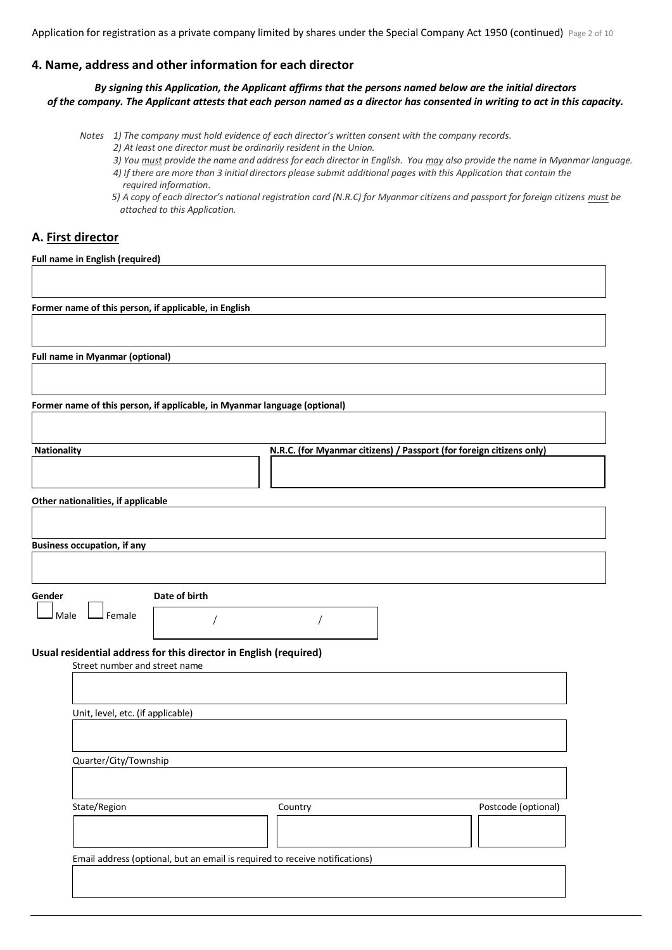Application for registration as a private company limited by shares under the Special Company Act 1950 (continued) Page 2 of 10

# **4. Name, address and other information for each director**

*By signing this Application, the Applicant affirms that the persons named below are the initial directors of the company. The Applicant attests that each person named as a director has consented in writing to act in this capacity.*

*Notes 1) The company must hold evidence of each director's written consent with the company records.*

- *2) At least one director must be ordinarily resident in the Union.*
- *3) You must provide the name and address for each director in English. You may also provide the name in Myanmar language.*
- *4) If there are more than 3 initial directors please submit additional pages with this Application that contain the required information.*
- *5) A copy of each director's national registration card (N.R.C) for Myanmar citizens and passport for foreign citizens must be attached to this Application.*

# **A. First director**

**Full name in English (required)**

**Former name of this person, if applicable, in English**

**Full name in Myanmar (optional)**

**Former name of this person, if applicable, in Myanmar language (optional)**

| <b>Nationality</b>                 | N.R.C. (for Myanmar citizens) / Passport (for foreign citizens only) |
|------------------------------------|----------------------------------------------------------------------|
|                                    |                                                                      |
|                                    |                                                                      |
| Other nationalities, if applicable |                                                                      |

**Business occupation, if any**

**Gender Date of birth**

 $M$ ale  $\Box$  Female

/ /

# **Usual residential address for this director in English (required)**

| Unit, level, etc. (if applicable) |         |                     |
|-----------------------------------|---------|---------------------|
|                                   |         |                     |
|                                   |         |                     |
| Quarter/City/Township             |         |                     |
|                                   |         |                     |
|                                   |         |                     |
|                                   |         |                     |
|                                   | Country | Postcode (optional) |
|                                   |         |                     |
| State/Region                      |         |                     |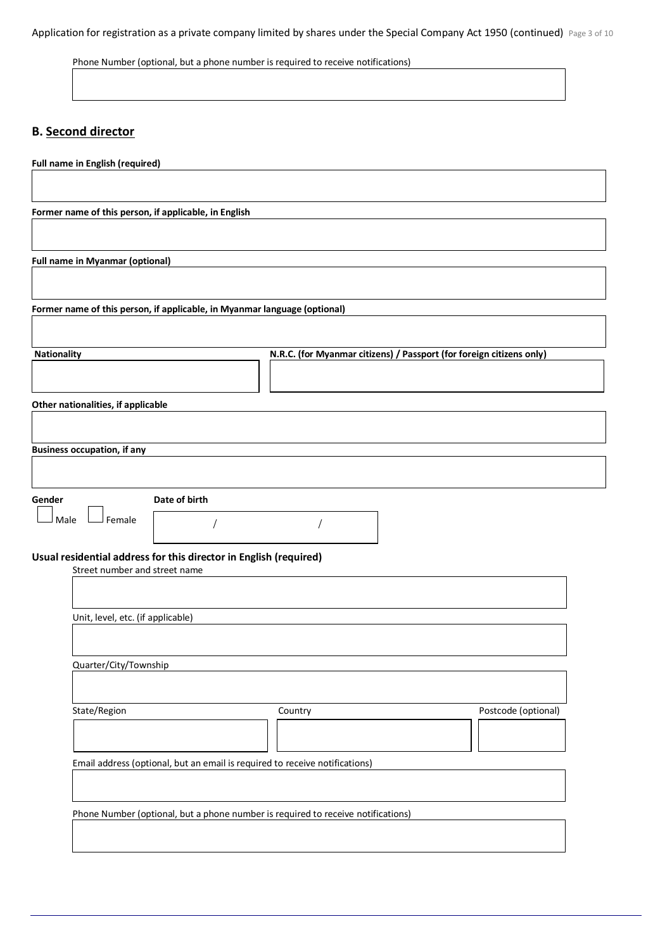Application for registration as a private company limited by shares under the Special Company Act 1950 (continued) Page 3 of 10

Phone Number (optional, but a phone number is required to receive notifications)

# **B. Second director**

| <b>Full name in English (required)</b>                                                             |
|----------------------------------------------------------------------------------------------------|
|                                                                                                    |
| Former name of this person, if applicable, in English                                              |
|                                                                                                    |
| <b>Full name in Myanmar (optional)</b>                                                             |
|                                                                                                    |
| Former name of this person, if applicable, in Myanmar language (optional)                          |
|                                                                                                    |
| <b>Nationality</b><br>N.R.C. (for Myanmar citizens) / Passport (for foreign citizens only)         |
|                                                                                                    |
| Other nationalities, if applicable                                                                 |
|                                                                                                    |
| <b>Business occupation, if any</b>                                                                 |
|                                                                                                    |
| Date of birth<br>Gender                                                                            |
| Female<br>Male                                                                                     |
|                                                                                                    |
| Usual residential address for this director in English (required)<br>Street number and street name |
|                                                                                                    |
| Unit, level, etc. (if applicable)                                                                  |
|                                                                                                    |
| Quarter/City/Township                                                                              |
|                                                                                                    |
| State/Region<br>Postcode (optional)<br>Country                                                     |
|                                                                                                    |
| Email address (optional, but an email is required to receive notifications)                        |
|                                                                                                    |
| Phone Number (optional, but a phone number is required to receive notifications)                   |
|                                                                                                    |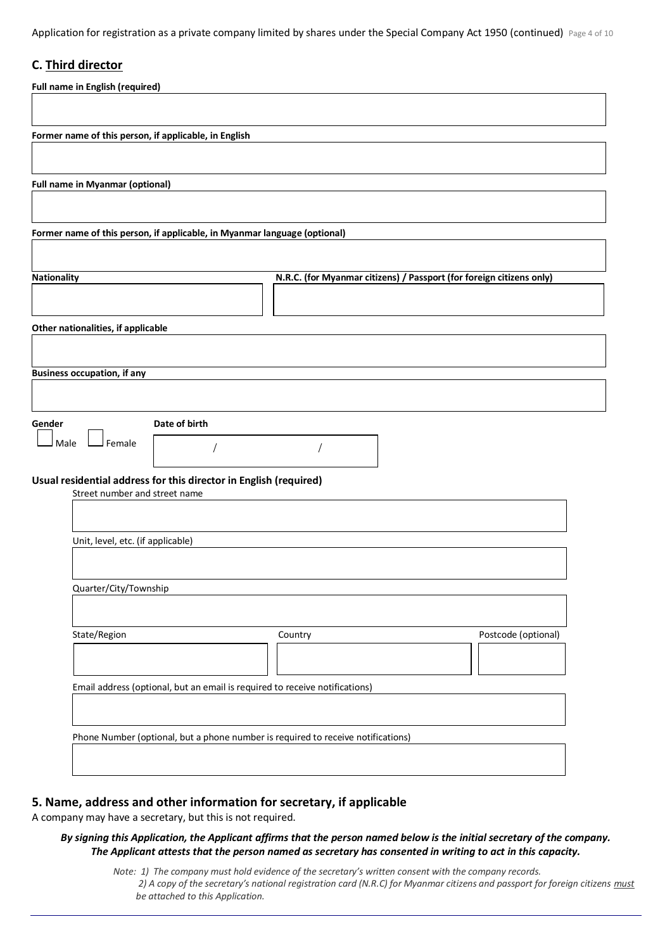Application for registration as a private company limited by shares under the Special Company Act 1950 (continued) Page 4 of 10

# **C. Third director**

| <b>Full name in English (required)</b>                                                             |  |
|----------------------------------------------------------------------------------------------------|--|
|                                                                                                    |  |
| Former name of this person, if applicable, in English                                              |  |
|                                                                                                    |  |
| <b>Full name in Myanmar (optional)</b>                                                             |  |
|                                                                                                    |  |
| Former name of this person, if applicable, in Myanmar language (optional)                          |  |
|                                                                                                    |  |
| N.R.C. (for Myanmar citizens) / Passport (for foreign citizens only)<br><b>Nationality</b>         |  |
|                                                                                                    |  |
| Other nationalities, if applicable                                                                 |  |
| <b>Business occupation, if any</b>                                                                 |  |
|                                                                                                    |  |
| Date of birth<br>Gender                                                                            |  |
| <sup>J</sup> Female<br>Male                                                                        |  |
|                                                                                                    |  |
| Usual residential address for this director in English (required)<br>Street number and street name |  |
|                                                                                                    |  |
| Unit, level, etc. (if applicable)                                                                  |  |
|                                                                                                    |  |
| Quarter/City/Township                                                                              |  |
|                                                                                                    |  |
| State/Region<br>Postcode (optional)<br>Country                                                     |  |
|                                                                                                    |  |
| Email address (optional, but an email is required to receive notifications)                        |  |
|                                                                                                    |  |
| Phone Number (optional, but a phone number is required to receive notifications)                   |  |
|                                                                                                    |  |

### **5. Name, address and other information for secretary, if applicable**

A company may have a secretary, but this is not required.

#### *By signing this Application, the Applicant affirms that the person named below is the initial secretary of the company. The Applicant attests that the person named as secretary has consented in writing to act in this capacity.*

*Note: 1) The company must hold evidence of the secretary's written consent with the company records. 2) A copy of the secretary's national registration card (N.R.C) for Myanmar citizens and passport for foreign citizens must be attached to this Application.*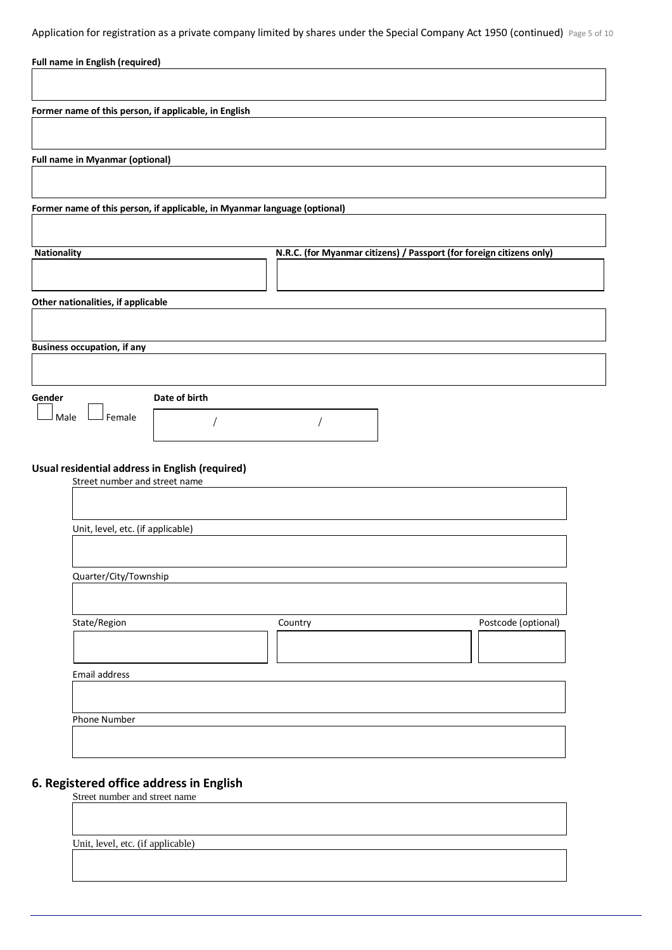Application for registration as a private company limited by shares under the Special Company Act 1950 (continued) Page 5 of 10

| Former name of this person, if applicable, in English                            |                                                                      |
|----------------------------------------------------------------------------------|----------------------------------------------------------------------|
|                                                                                  |                                                                      |
| <b>Full name in Myanmar (optional)</b>                                           |                                                                      |
|                                                                                  |                                                                      |
| Former name of this person, if applicable, in Myanmar language (optional)        |                                                                      |
| Nationality                                                                      | N.R.C. (for Myanmar citizens) / Passport (for foreign citizens only) |
|                                                                                  |                                                                      |
| Other nationalities, if applicable                                               |                                                                      |
|                                                                                  |                                                                      |
| <b>Business occupation, if any</b>                                               |                                                                      |
|                                                                                  |                                                                      |
| Date of birth<br>Gender                                                          |                                                                      |
| Female<br>Male                                                                   |                                                                      |
|                                                                                  |                                                                      |
| Usual residential address in English (required)<br>Street number and street name |                                                                      |
|                                                                                  |                                                                      |
| Unit, level, etc. (if applicable)                                                |                                                                      |
|                                                                                  |                                                                      |
|                                                                                  |                                                                      |
| Quarter/City/Township                                                            |                                                                      |
|                                                                                  |                                                                      |
| State/Region                                                                     | Postcode (optional)<br>Country                                       |
|                                                                                  |                                                                      |
| Email address                                                                    |                                                                      |
|                                                                                  |                                                                      |

# **6. Registered office address in English**

Street number and street name

Unit, level, etc. (if applicable)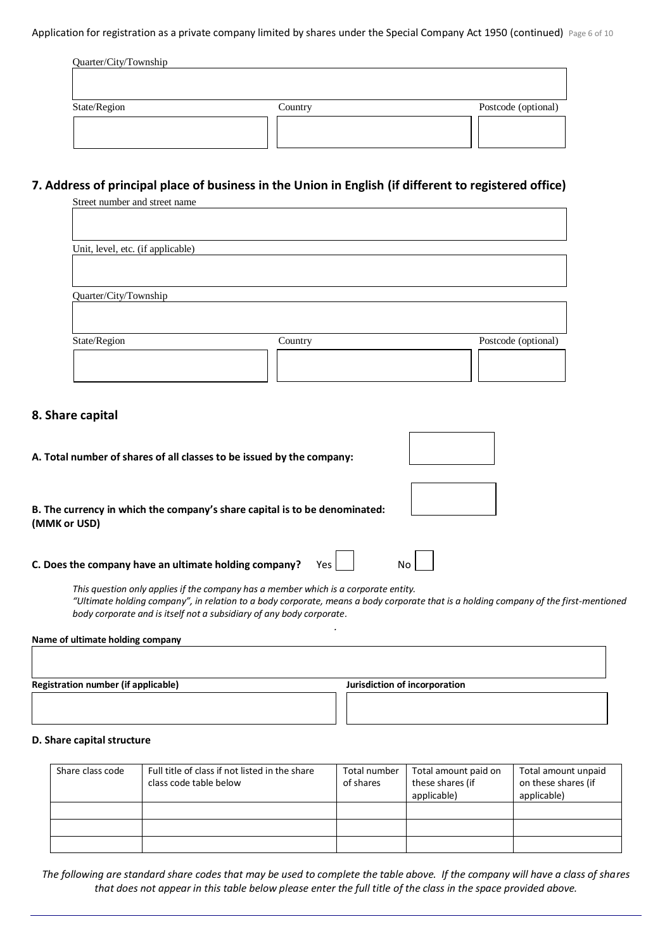Application for registration as a private company limited by shares under the Special Company Act 1950 (continued) Page 6 of 10

| Quarter/City/Township |         |                     |
|-----------------------|---------|---------------------|
| State/Region          | Country | Postcode (optional) |
|                       |         |                     |

# **7. Address of principal place of business in the Union in English (if different to registered office)**

| Country | Postcode (optional) |
|---------|---------------------|
|         |                     |
|         |                     |
|         |                     |

# **8. Share capital**

| A. Total number of shares of all classes to be issued by the company:                                                                                                                                                                                                                               |                               |
|-----------------------------------------------------------------------------------------------------------------------------------------------------------------------------------------------------------------------------------------------------------------------------------------------------|-------------------------------|
| B. The currency in which the company's share capital is to be denominated:<br>(MMK or USD)                                                                                                                                                                                                          |                               |
| C. Does the company have an ultimate holding company?<br>Yes                                                                                                                                                                                                                                        | N٥                            |
| This question only applies if the company has a member which is a corporate entity.<br>"Ultimate holding company", in relation to a body corporate, means a body corporate that is a holding company of the first-mentioned<br>body corporate and is itself not a subsidiary of any body corporate. |                               |
| Name of ultimate holding company                                                                                                                                                                                                                                                                    |                               |
| <b>Registration number (if applicable)</b>                                                                                                                                                                                                                                                          | Jurisdiction of incorporation |

Г

٦

### **D. Share capital structure**

| Share class code | Full title of class if not listed in the share<br>class code table below | Total number<br>of shares | Total amount paid on<br>these shares (if<br>applicable) | Total amount unpaid<br>on these shares (if<br>applicable) |
|------------------|--------------------------------------------------------------------------|---------------------------|---------------------------------------------------------|-----------------------------------------------------------|
|                  |                                                                          |                           |                                                         |                                                           |
|                  |                                                                          |                           |                                                         |                                                           |
|                  |                                                                          |                           |                                                         |                                                           |

*The following are standard share codes that may be used to complete the table above. If the company will have a class of shares that does not appear in this table below please enter the full title of the class in the space provided above.*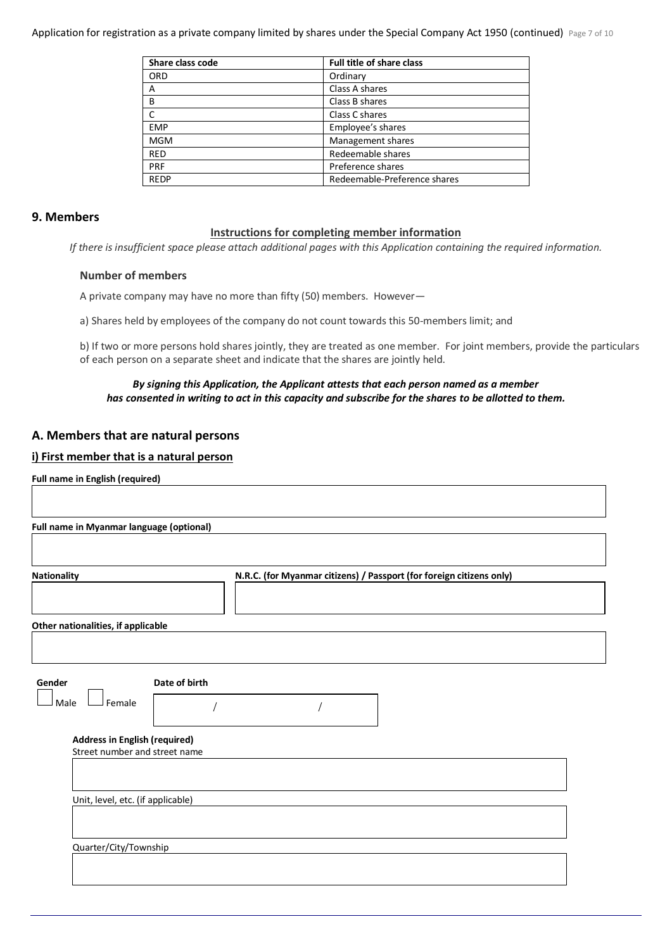Application for registration as a private company limited by shares under the Special Company Act 1950 (continued) Page 7 of 10

| Share class code | <b>Full title of share class</b> |
|------------------|----------------------------------|
| <b>ORD</b>       | Ordinary                         |
| Α                | Class A shares                   |
| B                | Class B shares                   |
| C                | Class C shares                   |
| <b>EMP</b>       | Employee's shares                |
| <b>MGM</b>       | Management shares                |
| <b>RED</b>       | Redeemable shares                |
| <b>PRF</b>       | Preference shares                |
| <b>REDP</b>      | Redeemable-Preference shares     |

### **9. Members**

#### **Instructions for completing member information**

*If there is insufficient space please attach additional pages with this Application containing the required information.*

#### **Number of members**

A private company may have no more than fifty (50) members. However—

a) Shares held by employees of the company do not count towards this 50-members limit; and

b) If two or more persons hold shares jointly, they are treated as one member. For joint members, provide the particulars of each person on a separate sheet and indicate that the shares are jointly held.

#### *By signing this Application, the Applicant attests that each person named as a member has consented in writing to act in this capacity and subscribe for the shares to be allotted to them.*

# **A. Members that are natural persons**

### **i) First member that is a natural person**

**Full name in English (required)**

| <b>Full name in Myanmar language (optional)</b> |  |  |
|-------------------------------------------------|--|--|
|                                                 |  |  |

| <b>Nationality</b> | N.R.C. (for Myanmar citizens) / Passport (for foreign citizens only) |
|--------------------|----------------------------------------------------------------------|
|                    |                                                                      |
|                    |                                                                      |

#### **Other nationalities, if applicable**

| Gender                          | Date of birth |  |
|---------------------------------|---------------|--|
| $A - I$<br>ملممت<br>iviale<br>. |               |  |

| <b>Contract Contract Contract Contract Contract</b> | I Male | $\mathbf{r}$ | J Female |  |  |
|-----------------------------------------------------|--------|--------------|----------|--|--|
|                                                     |        |              |          |  |  |

#### **Address in English (required)**

Street number and street name

Unit, level, etc. (if applicable)

Quarter/City/Township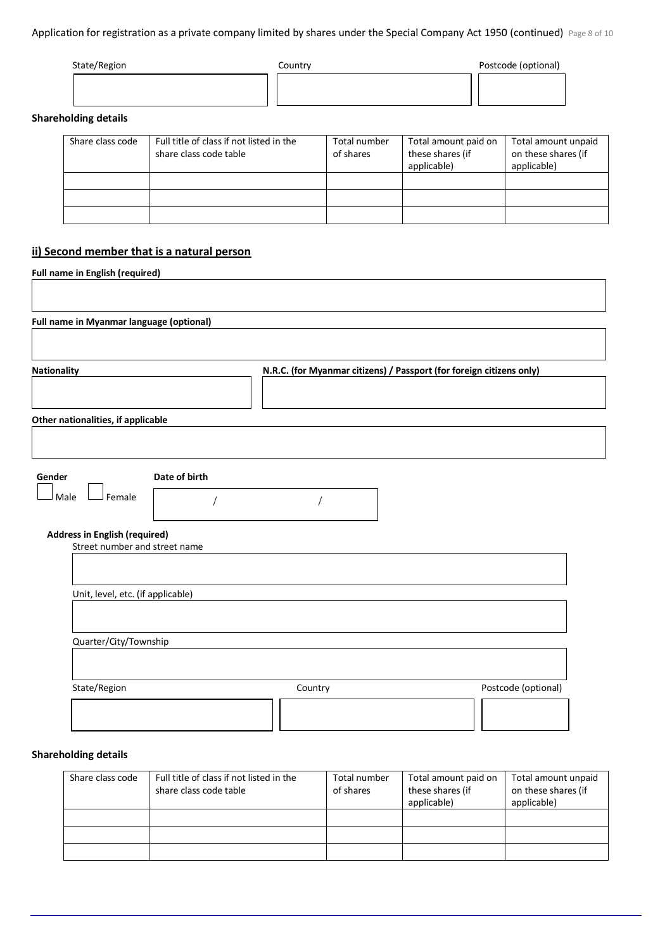## Application for registration as a private company limited by shares under the Special Company Act 1950 (continued) Page 8 of 10

| State/Region | Country | Postcode (optional) |
|--------------|---------|---------------------|
|              |         |                     |
|              |         |                     |

## **Shareholding details**

| Share class code | Full title of class if not listed in the<br>share class code table | Total number<br>of shares | Total amount paid on<br>these shares (if<br>applicable) | Total amount unpaid<br>on these shares (if<br>applicable) |
|------------------|--------------------------------------------------------------------|---------------------------|---------------------------------------------------------|-----------------------------------------------------------|
|                  |                                                                    |                           |                                                         |                                                           |
|                  |                                                                    |                           |                                                         |                                                           |
|                  |                                                                    |                           |                                                         |                                                           |

# **ii) Second member that is a natural person**

|               | N.R.C. (for Myanmar citizens) / Passport (for foreign citizens only) |
|---------------|----------------------------------------------------------------------|
|               |                                                                      |
|               |                                                                      |
|               |                                                                      |
|               |                                                                      |
|               |                                                                      |
|               |                                                                      |
| Date of birth |                                                                      |

## **Shareholding details**

| Share class code | Full title of class if not listed in the<br>share class code table | Total number<br>of shares | Total amount paid on<br>these shares (if<br>applicable) | Total amount unpaid<br>on these shares (if<br>applicable) |
|------------------|--------------------------------------------------------------------|---------------------------|---------------------------------------------------------|-----------------------------------------------------------|
|                  |                                                                    |                           |                                                         |                                                           |
|                  |                                                                    |                           |                                                         |                                                           |
|                  |                                                                    |                           |                                                         |                                                           |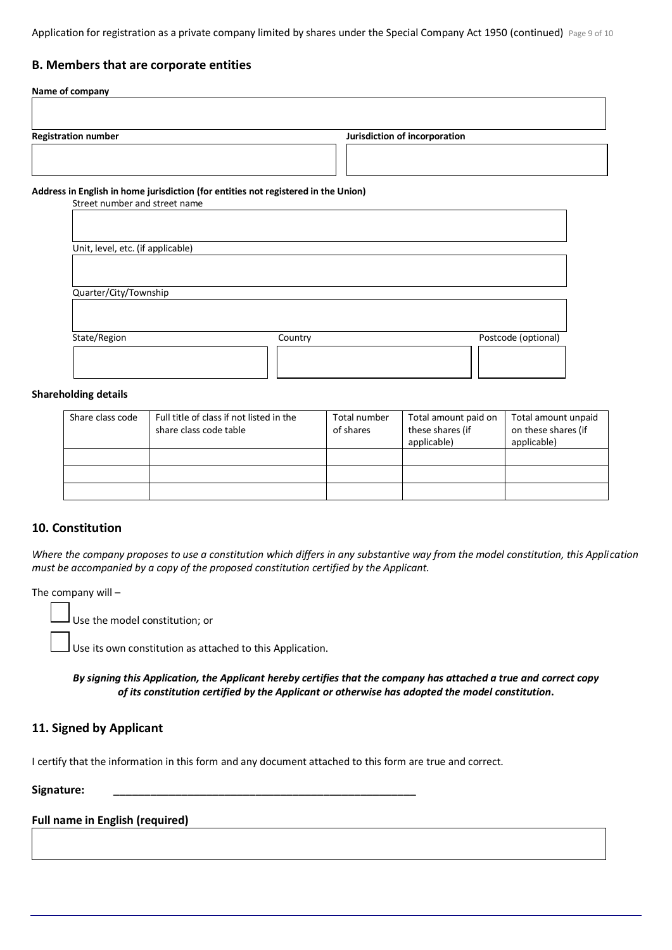Application for registration as a private company limited by shares under the Special Company Act 1950 (continued) Page 9 of 10

# **B. Members that are corporate entities**

| Name of company                                                                    |                               |
|------------------------------------------------------------------------------------|-------------------------------|
|                                                                                    |                               |
| <b>Registration number</b>                                                         | Jurisdiction of incorporation |
|                                                                                    |                               |
|                                                                                    |                               |
| Address in English in home jurisdiction (for entities not registered in the Union) |                               |

Street number and street name

| Unit, level, etc. (if applicable) |         |                     |
|-----------------------------------|---------|---------------------|
|                                   |         |                     |
| Quarter/City/Township             |         |                     |
|                                   |         |                     |
| State/Region                      | Country | Postcode (optional) |
|                                   |         |                     |
|                                   |         |                     |

#### **Shareholding details**

| Share class code | Full title of class if not listed in the<br>share class code table | Total number<br>of shares | Total amount paid on<br>these shares (if<br>applicable) | Total amount unpaid<br>on these shares (if<br>applicable) |
|------------------|--------------------------------------------------------------------|---------------------------|---------------------------------------------------------|-----------------------------------------------------------|
|                  |                                                                    |                           |                                                         |                                                           |
|                  |                                                                    |                           |                                                         |                                                           |
|                  |                                                                    |                           |                                                         |                                                           |

### **10. Constitution**

*Where the company proposes to use a constitution which differs in any substantive way from the model constitution, this Application must be accompanied by a copy of the proposed constitution certified by the Applicant.*

The company will –

Use the model constitution; or

Use its own constitution as attached to this Application.

*By signing this Application, the Applicant hereby certifies that the company has attached a true and correct copy of its constitution certified by the Applicant or otherwise has adopted the model constitution***.**

### **11. Signed by Applicant**

I certify that the information in this form and any document attached to this form are true and correct.

**Signature: \_\_\_\_\_\_\_\_\_\_\_\_\_\_\_\_\_\_\_\_\_\_\_\_\_\_\_\_\_\_\_\_\_\_\_\_\_\_\_\_\_\_\_\_\_\_\_\_\_**

#### **Full name in English (required)**